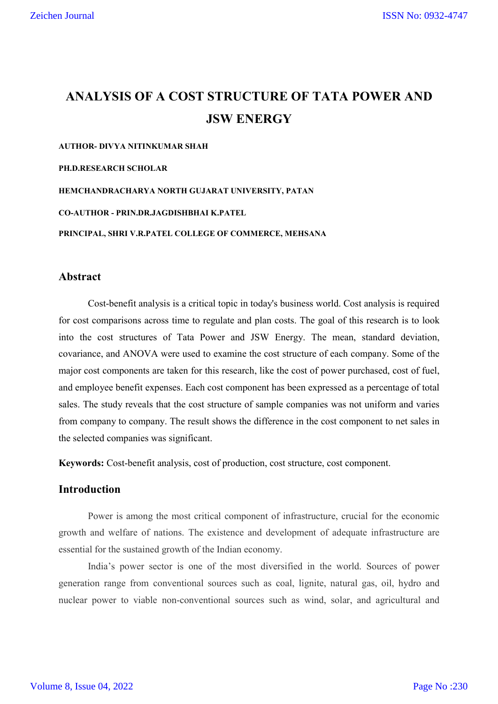# **ANALYSIS OF A COST STRUCTURE OF TATA POWER AND JSW ENERGY**

**AUTHOR- DIVYA NITINKUMAR SHAH**

**PH.D.RESEARCH SCHOLAR**

**HEMCHANDRACHARYA NORTH GUJARAT UNIVERSITY, PATAN**

**CO-AUTHOR - PRIN.DR.JAGDISHBHAI K.PATEL**

**PRINCIPAL, SHRI V.R.PATEL COLLEGE OF COMMERCE, MEHSANA**

### **Abstract**

Cost-benefit analysis is a critical topic in today's business world. Cost analysis is required for cost comparisons across time to regulate and plan costs. The goal of this research is to look into the cost structures of Tata Power and JSW Energy. The mean, standard deviation, covariance, and ANOVA were used to examine the cost structure of each company. Some of the major cost components are taken for this research, like the cost of power purchased, cost of fuel, and employee benefit expenses. Each cost component has been expressed as a percentage of total sales. The study reveals that the cost structure of sample companies was not uniform and varies from company to company. The result shows the difference in the cost component to net sales in the selected companies was significant.

**Keywords:** Cost-benefit analysis, cost of production, cost structure, cost component.

# **Introduction**

Power is among the most critical component of infrastructure, crucial for the economic growth and welfare of nations. The existence and development of adequate infrastructure are essential for the sustained growth of the Indian economy.

India's power sector is one of the most diversified in the world. Sources of power generation range from conventional sources such as coal, lignite, natural gas, oil, hydro and nuclear power to viable non-conventional sources such as wind, solar, and agricultural and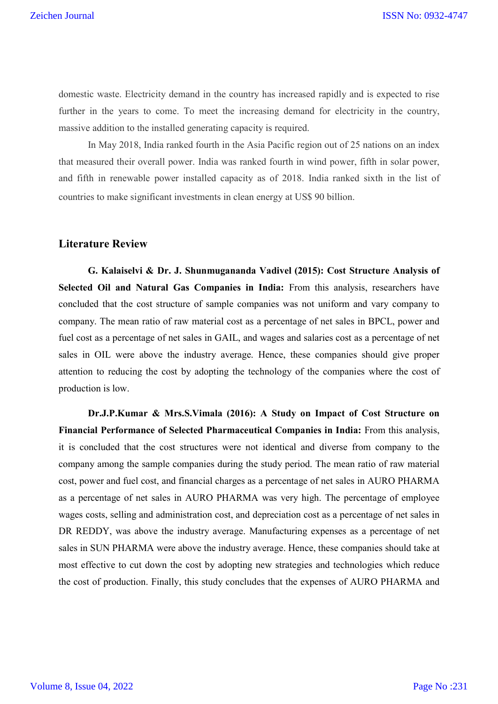domestic waste. Electricity demand in the country has increased rapidly and is expected to rise further in the years to come. To meet the increasing demand for electricity in the country, massive addition to the installed generating capacity is required.

In May 2018, India ranked fourth in the Asia Pacific region out of 25 nations on an index that measured their overall power. India was ranked fourth in wind power, fifth in solar power, and fifth in renewable power installed capacity as of 2018. India ranked sixth in the list of countries to make significant investments in clean energy at US\$ 90 billion.

### **Literature Review**

**G. Kalaiselvi & Dr. J. Shunmugananda Vadivel (2015): Cost Structure Analysis of Selected Oil and Natural Gas Companies in India:** From this analysis, researchers have concluded that the cost structure of sample companies was not uniform and vary company to company. The mean ratio of raw material cost as a percentage of net sales in BPCL, power and fuel cost as a percentage of net sales in GAIL, and wages and salaries cost as a percentage of net sales in OIL were above the industry average. Hence, these companies should give proper attention to reducing the cost by adopting the technology of the companies where the cost of production is low.

**Dr.J.P.Kumar & Mrs.S.Vimala (2016): A Study on Impact of Cost Structure on Financial Performance of Selected Pharmaceutical Companies in India:** From this analysis, it is concluded that the cost structures were not identical and diverse from company to the company among the sample companies during the study period. The mean ratio of raw material cost, power and fuel cost, and financial charges as a percentage of net sales in AURO PHARMA as a percentage of net sales in AURO PHARMA was very high. The percentage of employee wages costs, selling and administration cost, and depreciation cost as a percentage of net sales in DR REDDY, was above the industry average. Manufacturing expenses as a percentage of net sales in SUN PHARMA were above the industry average. Hence, these companies should take at most effective to cut down the cost by adopting new strategies and technologies which reduce the cost of production. Finally, this study concludes that the expenses of AURO PHARMA and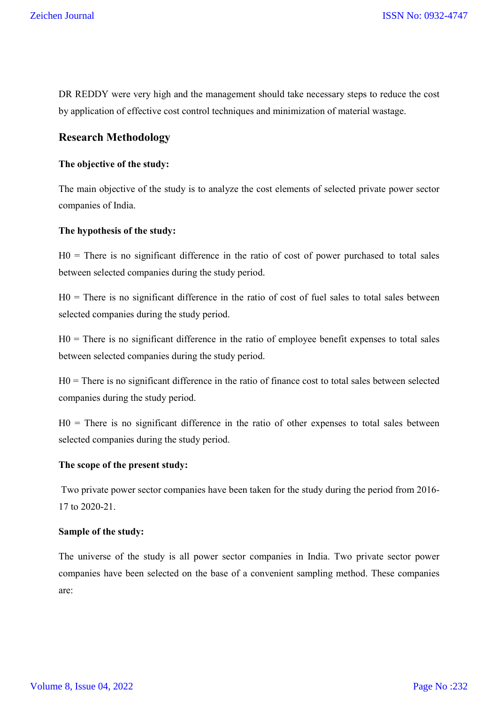DR REDDY were very high and the management should take necessary steps to reduce the cost by application of effective cost control techniques and minimization of material wastage.

# **Research Methodology**

#### **The objective of the study:**

The main objective of the study is to analyze the cost elements of selected private power sector companies of India.

#### **The hypothesis of the study:**

 $H0 =$ There is no significant difference in the ratio of cost of power purchased to total sales between selected companies during the study period.

 $H0 =$ There is no significant difference in the ratio of cost of fuel sales to total sales between selected companies during the study period.

 $H0 =$ There is no significant difference in the ratio of employee benefit expenses to total sales between selected companies during the study period.

H0 = There is no significant difference in the ratio of finance cost to total sales between selected companies during the study period.

 $H0 =$ There is no significant difference in the ratio of other expenses to total sales between selected companies during the study period.

### **The scope of the present study:**

Two private power sector companies have been taken for the study during the period from 2016- 17 to 2020-21.

#### **Sample of the study:**

The universe of the study is all power sector companies in India. Two private sector power companies have been selected on the base of a convenient sampling method. These companies are: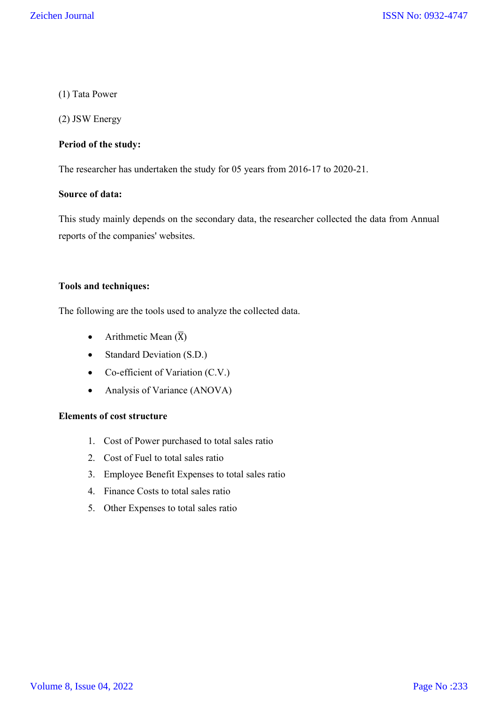### (1) Tata Power

(2) JSW Energy

### **Period of the study:**

The researcher has undertaken the study for 05 years from 2016-17 to 2020-21.

### **Source of data:**

This study mainly depends on the secondary data, the researcher collected the data from Annual reports of the companies' websites.

#### **Tools and techniques:**

The following are the tools used to analyze the collected data.

- Arithmetic Mean  $(\overline{X})$
- Standard Deviation (S.D.)
- Co-efficient of Variation (C.V.)
- Analysis of Variance (ANOVA)

### **Elements of cost structure**

- 1. Cost of Power purchased to total sales ratio
- 2. Cost of Fuel to total sales ratio
- 3. Employee Benefit Expenses to total sales ratio
- 4. Finance Costs to total sales ratio
- 5. Other Expenses to total sales ratio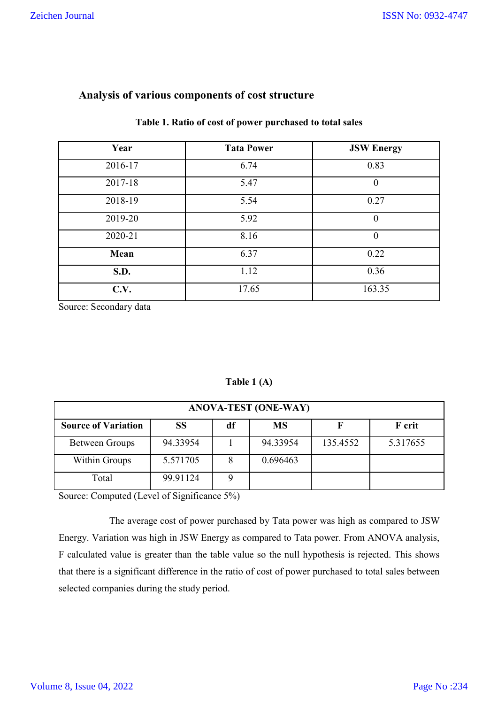| Year    | <b>Tata Power</b> | <b>JSW Energy</b> |
|---------|-------------------|-------------------|
| 2016-17 | 6.74              | 0.83              |
| 2017-18 | 5.47              | $\theta$          |
| 2018-19 | 5.54              | 0.27              |
| 2019-20 | 5.92              | $\theta$          |
| 2020-21 | 8.16              | $\boldsymbol{0}$  |
| Mean    | 6.37              | 0.22              |
| S.D.    | 1.12              | 0.36              |
| C.V.    | 17.65             | 163.35            |

# **Analysis of various components of cost structure**

### **Table 1. Ratio of cost of power purchased to total sales**

Source: Secondary data

# **Table 1 (A)**

| <b>ANOVA-TEST (ONE-WAY)</b> |          |    |           |          |               |  |
|-----------------------------|----------|----|-----------|----------|---------------|--|
| <b>Source of Variation</b>  | SS       | df | <b>MS</b> |          | <b>F</b> crit |  |
| Between Groups              | 94.33954 |    | 94.33954  | 135.4552 | 5.317655      |  |
| Within Groups               | 5.571705 |    | 0.696463  |          |               |  |
| Total                       | 99.91124 |    |           |          |               |  |

Source: Computed (Level of Significance 5%)

The average cost of power purchased by Tata power was high as compared to JSW Energy. Variation was high in JSW Energy as compared to Tata power. From ANOVA analysis, F calculated value is greater than the table value so the null hypothesis is rejected. This shows that there is a significant difference in the ratio of cost of power purchased to total sales between selected companies during the study period.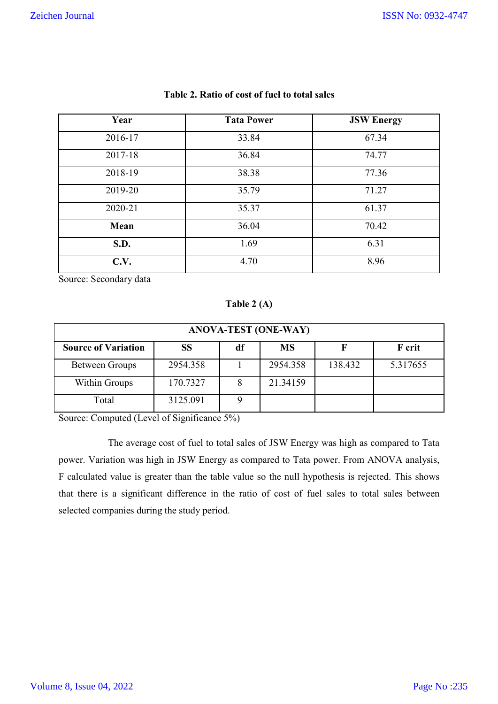| Year    | <b>Tata Power</b> | <b>JSW Energy</b> |
|---------|-------------------|-------------------|
| 2016-17 | 33.84             | 67.34             |
| 2017-18 | 36.84             | 74.77             |
| 2018-19 | 38.38             | 77.36             |
| 2019-20 | 35.79             | 71.27             |
| 2020-21 | 35.37             | 61.37             |
| Mean    | 36.04             | 70.42             |
| S.D.    | 1.69              | 6.31              |
| C.V.    | 4.70              | 8.96              |

### **Table 2. Ratio of cost of fuel to total sales**

Source: Secondary data

**Table 2 (A)**

| <b>ANOVA-TEST (ONE-WAY)</b> |          |    |           |         |          |  |
|-----------------------------|----------|----|-----------|---------|----------|--|
| <b>Source of Variation</b>  | SS       | df | <b>MS</b> |         | F crit   |  |
| <b>Between Groups</b>       | 2954.358 |    | 2954.358  | 138.432 | 5.317655 |  |
| Within Groups               | 170.7327 | 8  | 21.34159  |         |          |  |
| Total                       | 3125.091 |    |           |         |          |  |

Source: Computed (Level of Significance 5%)

The average cost of fuel to total sales of JSW Energy was high as compared to Tata power. Variation was high in JSW Energy as compared to Tata power. From ANOVA analysis, F calculated value is greater than the table value so the null hypothesis is rejected. This shows that there is a significant difference in the ratio of cost of fuel sales to total sales between selected companies during the study period.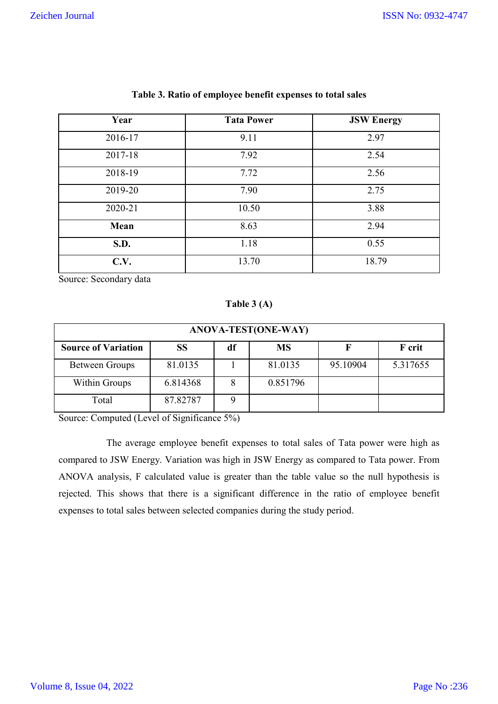| Year    | <b>Tata Power</b> | <b>JSW Energy</b> |
|---------|-------------------|-------------------|
| 2016-17 | 9.11              | 2.97              |
| 2017-18 | 7.92              | 2.54              |
| 2018-19 | 7.72              | 2.56              |
| 2019-20 | 7.90              | 2.75              |
| 2020-21 | 10.50             | 3.88              |
| Mean    | 8.63              | 2.94              |
| S.D.    | 1.18              | 0.55              |
| C.V.    | 13.70             | 18.79             |

### **Table 3. Ratio of employee benefit expenses to total sales**

Source: Secondary data

### **Table 3 (A)**

| ANOVA-TEST(ONE-WAY)        |           |    |          |          |          |  |
|----------------------------|-----------|----|----------|----------|----------|--|
| <b>Source of Variation</b> | <b>SS</b> | df | MS       |          | F crit   |  |
| Between Groups             | 81.0135   |    | 81.0135  | 95.10904 | 5.317655 |  |
| Within Groups              | 6.814368  |    | 0.851796 |          |          |  |
| Total                      | 87.82787  |    |          |          |          |  |

Source: Computed (Level of Significance 5%)

 The average employee benefit expenses to total sales of Tata power were high as compared to JSW Energy. Variation was high in JSW Energy as compared to Tata power. From ANOVA analysis, F calculated value is greater than the table value so the null hypothesis is rejected. This shows that there is a significant difference in the ratio of employee benefit expenses to total sales between selected companies during the study period.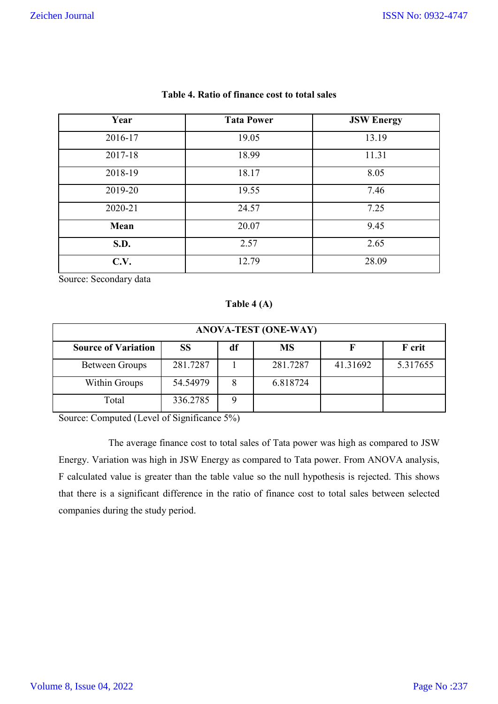| Year    | <b>Tata Power</b> | <b>JSW Energy</b> |
|---------|-------------------|-------------------|
| 2016-17 | 19.05             | 13.19             |
| 2017-18 | 18.99             | 11.31             |
| 2018-19 | 18.17             | 8.05              |
| 2019-20 | 19.55             | 7.46              |
| 2020-21 | 24.57             | 7.25              |
| Mean    | 20.07             | 9.45              |
| S.D.    | 2.57              | 2.65              |
| C.V.    | 12.79             | 28.09             |

### **Table 4. Ratio of finance cost to total sales**

Source: Secondary data

# **Table 4 (A)**

| <b>ANOVA-TEST (ONE-WAY)</b> |           |    |           |          |          |
|-----------------------------|-----------|----|-----------|----------|----------|
| <b>Source of Variation</b>  | <b>SS</b> | df | <b>MS</b> |          | F crit   |
| <b>Between Groups</b>       | 281.7287  |    | 281.7287  | 41.31692 | 5.317655 |
| Within Groups               | 54.54979  | 8  | 6.818724  |          |          |
| Total                       | 336.2785  |    |           |          |          |

Source: Computed (Level of Significance 5%)

The average finance cost to total sales of Tata power was high as compared to JSW Energy. Variation was high in JSW Energy as compared to Tata power. From ANOVA analysis, F calculated value is greater than the table value so the null hypothesis is rejected. This shows that there is a significant difference in the ratio of finance cost to total sales between selected companies during the study period.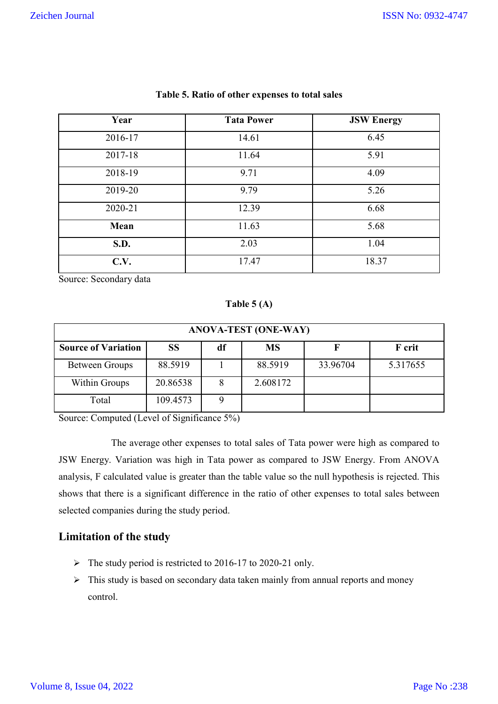| Year    | <b>Tata Power</b> | <b>JSW Energy</b> |
|---------|-------------------|-------------------|
| 2016-17 | 14.61             | 6.45              |
| 2017-18 | 11.64             | 5.91              |
| 2018-19 | 9.71              | 4.09              |
| 2019-20 | 9.79              | 5.26              |
| 2020-21 | 12.39             | 6.68              |
| Mean    | 11.63             | 5.68              |
| S.D.    | 2.03              | 1.04              |
| C.V.    | 17.47             | 18.37             |

#### **Table 5. Ratio of other expenses to total sales**

Source: Secondary data

**Table 5 (A)**

| <b>ANOVA-TEST (ONE-WAY)</b> |           |    |           |          |          |  |  |
|-----------------------------|-----------|----|-----------|----------|----------|--|--|
| <b>Source of Variation</b>  | <b>SS</b> | df | <b>MS</b> |          | F crit   |  |  |
| Between Groups              | 88.5919   |    | 88.5919   | 33.96704 | 5.317655 |  |  |
| Within Groups               | 20.86538  |    | 2.608172  |          |          |  |  |
| Total                       | 109.4573  |    |           |          |          |  |  |

Source: Computed (Level of Significance 5%)

The average other expenses to total sales of Tata power were high as compared to JSW Energy. Variation was high in Tata power as compared to JSW Energy. From ANOVA analysis, F calculated value is greater than the table value so the null hypothesis is rejected. This shows that there is a significant difference in the ratio of other expenses to total sales between selected companies during the study period.

# **Limitation of the study**

- The study period is restricted to 2016-17 to 2020-21 only.
- $\triangleright$  This study is based on secondary data taken mainly from annual reports and money control.